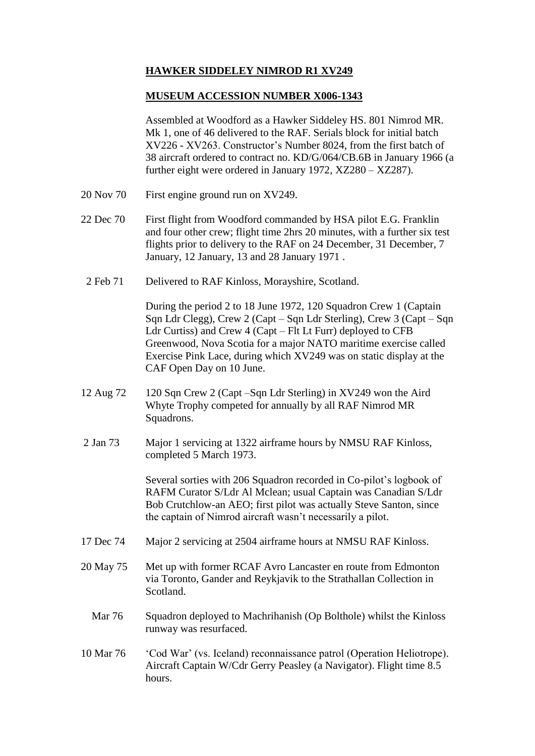## **HAWKER SIDDELEY NIMROD R1 XV249**

## **MUSEUM ACCESSION NUMBER X006-1343**

Assembled at Woodford as a Hawker Siddeley HS. 801 Nimrod MR. Mk 1, one of 46 delivered to the RAF. Serials block for initial batch XV226 - XV263. Constructor's Number 8024, from the first batch of 38 aircraft ordered to contract no. KD/G/064/CB.6B in January 1966 (a further eight were ordered in January 1972, XZ280 – XZ287).

- 20 Nov 70 First engine ground run on XV249.
- 22 Dec 70 First flight from Woodford commanded by HSA pilot E.G. Franklin and four other crew; flight time 2hrs 20 minutes, with a further six test flights prior to delivery to the RAF on 24 December, 31 December, 7 January, 12 January, 13 and 28 January 1971 .
- 2 Feb 71 Delivered to RAF Kinloss, Morayshire, Scotland.

During the period 2 to 18 June 1972, 120 Squadron Crew 1 (Captain Sqn Ldr Clegg), Crew 2 (Capt – Sqn Ldr Sterling), Crew 3 (Capt – Sqn Ldr Curtiss) and Crew 4 (Capt – Flt Lt Furr) deployed to CFB Greenwood, Nova Scotia for a major NATO maritime exercise called Exercise Pink Lace, during which XV249 was on static display at the CAF Open Day on 10 June.

- 12 Aug 72 120 Sqn Crew 2 (Capt –Sqn Ldr Sterling) in XV249 won the Aird Whyte Trophy competed for annually by all RAF Nimrod MR Squadrons.
- 2 Jan 73 Major 1 servicing at 1322 airframe hours by NMSU RAF Kinloss, completed 5 March 1973.

Several sorties with 206 Squadron recorded in Co-pilot's logbook of RAFM Curator S/Ldr Al Mclean; usual Captain was Canadian S/Ldr Bob Crutchlow-an AEO; first pilot was actually Steve Santon, since the captain of Nimrod aircraft wasn't necessarily a pilot.

- 17 Dec 74 Major 2 servicing at 2504 airframe hours at NMSU RAF Kinloss.
- 20 May 75 Met up with former RCAF Avro Lancaster en route from Edmonton via Toronto, Gander and Reykjavik to the Strathallan Collection in Scotland.
	- Mar 76 Squadron deployed to Machrihanish (Op Bolthole) whilst the Kinloss runway was resurfaced.
- 10 Mar 76 'Cod War' (vs. Iceland) reconnaissance patrol (Operation Heliotrope). Aircraft Captain W/Cdr Gerry Peasley (a Navigator). Flight time 8.5 hours.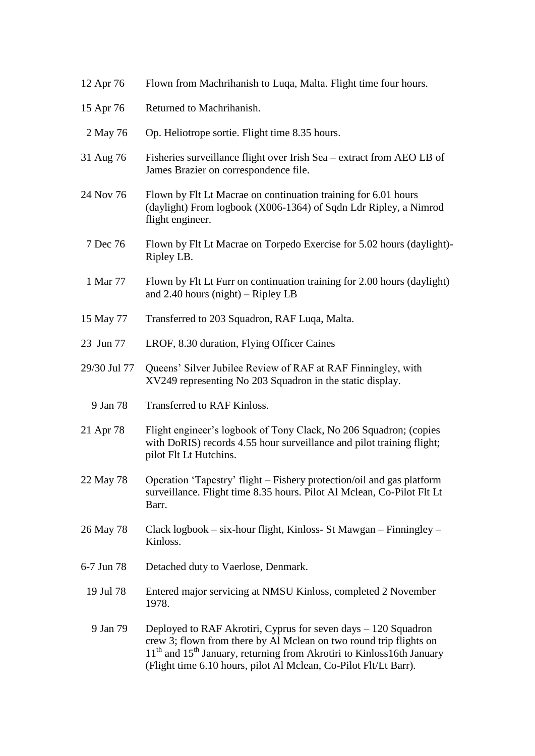| 12 Apr 76    | Flown from Machrihanish to Luqa, Malta. Flight time four hours.                                                                                                                                                                                                                                            |
|--------------|------------------------------------------------------------------------------------------------------------------------------------------------------------------------------------------------------------------------------------------------------------------------------------------------------------|
| 15 Apr 76    | Returned to Machrihanish.                                                                                                                                                                                                                                                                                  |
| 2 May 76     | Op. Heliotrope sortie. Flight time 8.35 hours.                                                                                                                                                                                                                                                             |
| 31 Aug 76    | Fisheries surveillance flight over Irish Sea – extract from AEO LB of<br>James Brazier on correspondence file.                                                                                                                                                                                             |
| 24 Nov 76    | Flown by Flt Lt Macrae on continuation training for 6.01 hours<br>(daylight) From logbook (X006-1364) of Sqdn Ldr Ripley, a Nimrod<br>flight engineer.                                                                                                                                                     |
| 7 Dec 76     | Flown by Flt Lt Macrae on Torpedo Exercise for 5.02 hours (daylight)-<br>Ripley LB.                                                                                                                                                                                                                        |
| 1 Mar 77     | Flown by Flt Lt Furr on continuation training for 2.00 hours (daylight)<br>and $2.40$ hours (night) – Ripley LB                                                                                                                                                                                            |
| 15 May 77    | Transferred to 203 Squadron, RAF Luqa, Malta.                                                                                                                                                                                                                                                              |
| 23 Jun 77    | LROF, 8.30 duration, Flying Officer Caines                                                                                                                                                                                                                                                                 |
| 29/30 Jul 77 | Queens' Silver Jubilee Review of RAF at RAF Finningley, with<br>XV249 representing No 203 Squadron in the static display.                                                                                                                                                                                  |
| 9 Jan 78     | Transferred to RAF Kinloss.                                                                                                                                                                                                                                                                                |
| 21 Apr 78    | Flight engineer's logbook of Tony Clack, No 206 Squadron; (copies<br>with DoRIS) records 4.55 hour surveillance and pilot training flight;<br>pilot Flt Lt Hutchins.                                                                                                                                       |
| 22 May 78    | Operation 'Tapestry' flight – Fishery protection/oil and gas platform<br>surveillance. Flight time 8.35 hours. Pilot Al Mclean, Co-Pilot Flt Lt<br>Barr.                                                                                                                                                   |
| 26 May 78    | Clack logbook - six-hour flight, Kinloss- St Mawgan - Finningley -<br>Kinloss.                                                                                                                                                                                                                             |
| 6-7 Jun 78   | Detached duty to Vaerlose, Denmark.                                                                                                                                                                                                                                                                        |
| 19 Jul 78    | Entered major servicing at NMSU Kinloss, completed 2 November<br>1978.                                                                                                                                                                                                                                     |
| 9 Jan 79     | Deployed to RAF Akrotiri, Cyprus for seven days $-120$ Squadron<br>crew 3; flown from there by Al Mclean on two round trip flights on<br>11 <sup>th</sup> and 15 <sup>th</sup> January, returning from Akrotiri to Kinloss16th January<br>(Flight time 6.10 hours, pilot Al Mclean, Co-Pilot Flt/Lt Barr). |
|              |                                                                                                                                                                                                                                                                                                            |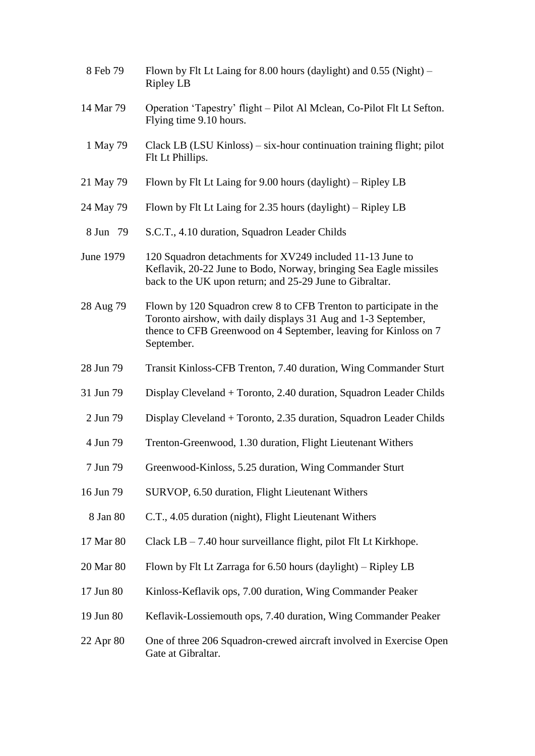| 8 Feb 79  | Flown by Flt Lt Laing for 8.00 hours (daylight) and $0.55$ (Night) –<br><b>Ripley LB</b>                                                                                                                              |
|-----------|-----------------------------------------------------------------------------------------------------------------------------------------------------------------------------------------------------------------------|
| 14 Mar 79 | Operation 'Tapestry' flight – Pilot Al Mclean, Co-Pilot Flt Lt Sefton.<br>Flying time 9.10 hours.                                                                                                                     |
| 1 May 79  | Clack LB (LSU Kinloss) – six-hour continuation training flight; pilot<br>Flt Lt Phillips.                                                                                                                             |
| 21 May 79 | Flown by Flt Lt Laing for 9.00 hours (daylight) – Ripley LB                                                                                                                                                           |
| 24 May 79 | Flown by Flt Lt Laing for 2.35 hours $(daylight)$ – Ripley LB                                                                                                                                                         |
| 8 Jun 79  | S.C.T., 4.10 duration, Squadron Leader Childs                                                                                                                                                                         |
| June 1979 | 120 Squadron detachments for XV249 included 11-13 June to<br>Keflavik, 20-22 June to Bodo, Norway, bringing Sea Eagle missiles<br>back to the UK upon return; and 25-29 June to Gibraltar.                            |
| 28 Aug 79 | Flown by 120 Squadron crew 8 to CFB Trenton to participate in the<br>Toronto airshow, with daily displays 31 Aug and 1-3 September,<br>thence to CFB Greenwood on 4 September, leaving for Kinloss on 7<br>September. |
| 28 Jun 79 | Transit Kinloss-CFB Trenton, 7.40 duration, Wing Commander Sturt                                                                                                                                                      |
| 31 Jun 79 | Display Cleveland + Toronto, 2.40 duration, Squadron Leader Childs                                                                                                                                                    |
| 2 Jun 79  | Display Cleveland + Toronto, 2.35 duration, Squadron Leader Childs                                                                                                                                                    |
| 4 Jun 79  | Trenton-Greenwood, 1.30 duration, Flight Lieutenant Withers                                                                                                                                                           |
| 7 Jun 79  | Greenwood-Kinloss, 5.25 duration, Wing Commander Sturt                                                                                                                                                                |
| 16 Jun 79 | SURVOP, 6.50 duration, Flight Lieutenant Withers                                                                                                                                                                      |
| 8 Jan 80  | C.T., 4.05 duration (night), Flight Lieutenant Withers                                                                                                                                                                |
| 17 Mar 80 | Clack $LB - 7.40$ hour surveillance flight, pilot Flt Lt Kirkhope.                                                                                                                                                    |
| 20 Mar 80 | Flown by Flt Lt Zarraga for 6.50 hours (daylight) – Ripley LB                                                                                                                                                         |
| 17 Jun 80 | Kinloss-Keflavik ops, 7.00 duration, Wing Commander Peaker                                                                                                                                                            |
| 19 Jun 80 | Keflavik-Lossiemouth ops, 7.40 duration, Wing Commander Peaker                                                                                                                                                        |
| 22 Apr 80 | One of three 206 Squadron-crewed aircraft involved in Exercise Open<br>Gate at Gibraltar.                                                                                                                             |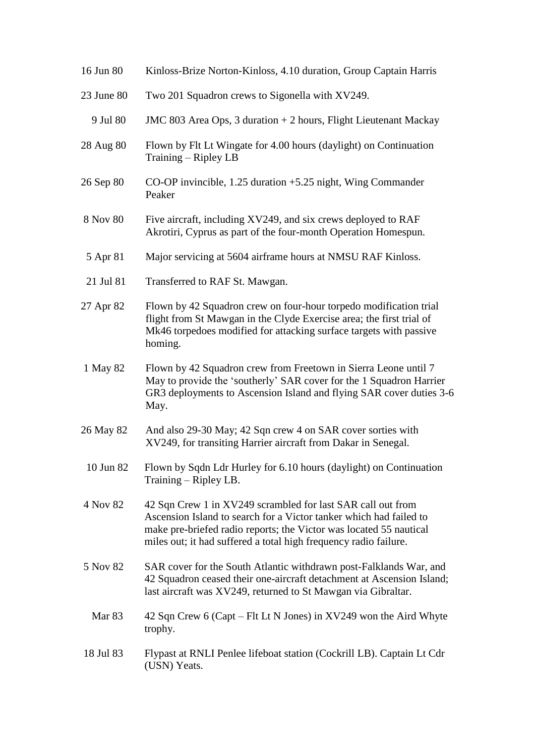| 16 Jun 80         | Kinloss-Brize Norton-Kinloss, 4.10 duration, Group Captain Harris                                                                                                                                                                                                           |
|-------------------|-----------------------------------------------------------------------------------------------------------------------------------------------------------------------------------------------------------------------------------------------------------------------------|
| 23 June 80        | Two 201 Squadron crews to Sigonella with XV249.                                                                                                                                                                                                                             |
| 9 Jul 80          | JMC 803 Area Ops, 3 duration + 2 hours, Flight Lieutenant Mackay                                                                                                                                                                                                            |
| 28 Aug 80         | Flown by Flt Lt Wingate for 4.00 hours (daylight) on Continuation<br>Training – Ripley LB                                                                                                                                                                                   |
| 26 Sep 80         | CO-OP invincible, $1.25$ duration $+5.25$ night, Wing Commander<br>Peaker                                                                                                                                                                                                   |
| 8 Nov 80          | Five aircraft, including XV249, and six crews deployed to RAF<br>Akrotiri, Cyprus as part of the four-month Operation Homespun.                                                                                                                                             |
| 5 Apr 81          | Major servicing at 5604 airframe hours at NMSU RAF Kinloss.                                                                                                                                                                                                                 |
| 21 Jul 81         | Transferred to RAF St. Mawgan.                                                                                                                                                                                                                                              |
| 27 Apr 82         | Flown by 42 Squadron crew on four-hour torpedo modification trial<br>flight from St Mawgan in the Clyde Exercise area; the first trial of<br>Mk46 torpedoes modified for attacking surface targets with passive<br>homing.                                                  |
| 1 May 82          | Flown by 42 Squadron crew from Freetown in Sierra Leone until 7<br>May to provide the 'southerly' SAR cover for the 1 Squadron Harrier<br>GR3 deployments to Ascension Island and flying SAR cover duties 3-6<br>May.                                                       |
| 26 May 82         | And also 29-30 May; 42 Sqn crew 4 on SAR cover sorties with<br>XV249, for transiting Harrier aircraft from Dakar in Senegal.                                                                                                                                                |
| 10 Jun 82         | Flown by Sqdn Ldr Hurley for 6.10 hours (daylight) on Continuation<br>Training – Ripley LB.                                                                                                                                                                                 |
| 4 Nov 82          | 42 Sqn Crew 1 in XV249 scrambled for last SAR call out from<br>Ascension Island to search for a Victor tanker which had failed to<br>make pre-briefed radio reports; the Victor was located 55 nautical<br>miles out; it had suffered a total high frequency radio failure. |
| 5 Nov 82          | SAR cover for the South Atlantic withdrawn post-Falklands War, and<br>42 Squadron ceased their one-aircraft detachment at Ascension Island;<br>last aircraft was XV249, returned to St Mawgan via Gibraltar.                                                                |
| Mar <sub>83</sub> | 42 Sqn Crew 6 (Capt – Flt Lt N Jones) in XV249 won the Aird Whyte<br>trophy.                                                                                                                                                                                                |
| 18 Jul 83         | Flypast at RNLI Penlee lifeboat station (Cockrill LB). Captain Lt Cdr<br>(USN) Yeats.                                                                                                                                                                                       |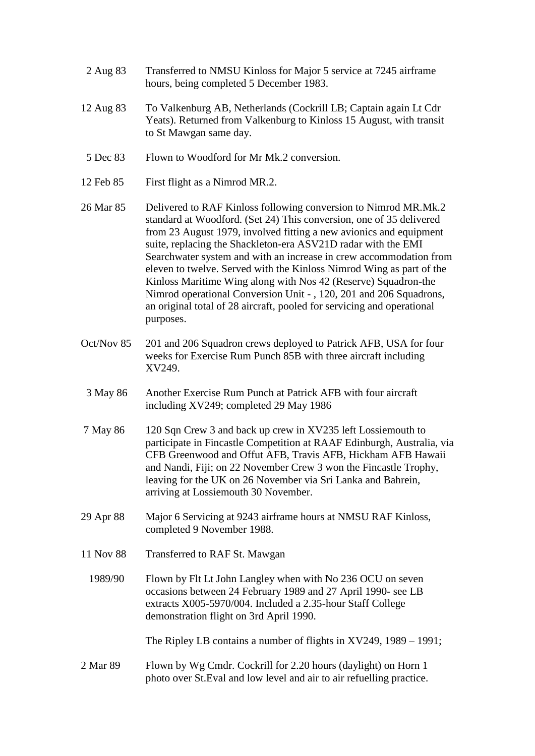- 2 Aug 83 Transferred to NMSU Kinloss for Major 5 service at 7245 airframe hours, being completed 5 December 1983.
- 12 Aug 83 To Valkenburg AB, Netherlands (Cockrill LB; Captain again Lt Cdr Yeats). Returned from Valkenburg to Kinloss 15 August, with transit to St Mawgan same day.
- 5 Dec 83 Flown to Woodford for Mr Mk.2 conversion.
- 12 Feb 85 First flight as a Nimrod MR.2.
- 26 Mar 85 Delivered to RAF Kinloss following conversion to Nimrod MR.Mk.2 standard at Woodford. (Set 24) This conversion, one of 35 delivered from 23 August 1979, involved fitting a new avionics and equipment suite, replacing the Shackleton-era ASV21D radar with the EMI Searchwater system and with an increase in crew accommodation from eleven to twelve. Served with the Kinloss Nimrod Wing as part of the Kinloss Maritime Wing along with Nos 42 (Reserve) Squadron-the Nimrod operational Conversion Unit - , 120, 201 and 206 Squadrons, an original total of 28 aircraft, pooled for servicing and operational purposes.
- Oct/Nov 85 201 and 206 Squadron crews deployed to Patrick AFB, USA for four weeks for Exercise Rum Punch 85B with three aircraft including XV249.
- 3 May 86 Another Exercise Rum Punch at Patrick AFB with four aircraft including XV249; completed 29 May 1986
- 7 May 86 120 Sqn Crew 3 and back up crew in XV235 left Lossiemouth to participate in Fincastle Competition at RAAF Edinburgh, Australia, via CFB Greenwood and Offut AFB, Travis AFB, Hickham AFB Hawaii and Nandi, Fiji; on 22 November Crew 3 won the Fincastle Trophy, leaving for the UK on 26 November via Sri Lanka and Bahrein, arriving at Lossiemouth 30 November.
- 29 Apr 88 Major 6 Servicing at 9243 airframe hours at NMSU RAF Kinloss, completed 9 November 1988.
- 11 Nov 88 Transferred to RAF St. Mawgan
	- 1989/90 Flown by Flt Lt John Langley when with No 236 OCU on seven occasions between 24 February 1989 and 27 April 1990- see LB extracts X005-5970/004. Included a 2.35-hour Staff College demonstration flight on 3rd April 1990.

The Ripley LB contains a number of flights in XV249, 1989 – 1991;

2 Mar 89 Flown by Wg Cmdr. Cockrill for 2.20 hours (daylight) on Horn 1 photo over St.Eval and low level and air to air refuelling practice.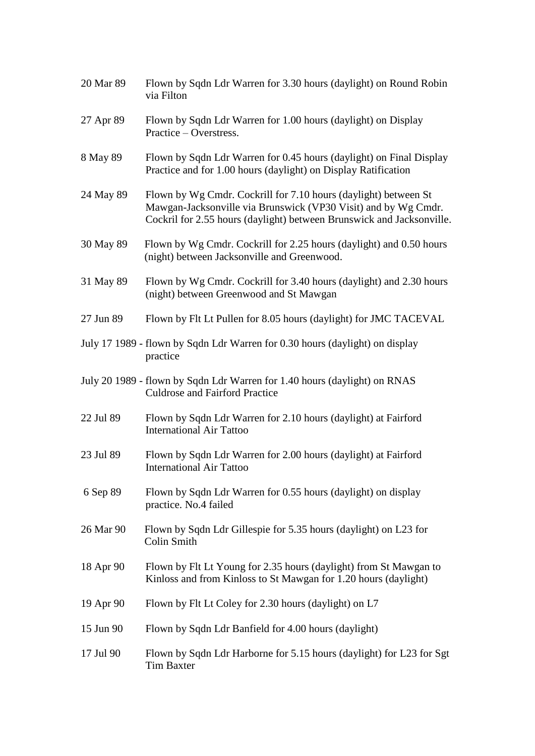| 20 Mar 89 | Flown by Sqdn Ldr Warren for 3.30 hours (daylight) on Round Robin<br>via Filton                                                                                                                            |
|-----------|------------------------------------------------------------------------------------------------------------------------------------------------------------------------------------------------------------|
| 27 Apr 89 | Flown by Sqdn Ldr Warren for 1.00 hours (daylight) on Display<br>Practice – Overstress.                                                                                                                    |
| 8 May 89  | Flown by Sqdn Ldr Warren for 0.45 hours (daylight) on Final Display<br>Practice and for 1.00 hours (daylight) on Display Ratification                                                                      |
| 24 May 89 | Flown by Wg Cmdr. Cockrill for 7.10 hours (daylight) between St<br>Mawgan-Jacksonville via Brunswick (VP30 Visit) and by Wg Cmdr.<br>Cockril for 2.55 hours (daylight) between Brunswick and Jacksonville. |
| 30 May 89 | Flown by Wg Cmdr. Cockrill for 2.25 hours (daylight) and 0.50 hours<br>(night) between Jacksonville and Greenwood.                                                                                         |
| 31 May 89 | Flown by Wg Cmdr. Cockrill for 3.40 hours (daylight) and 2.30 hours<br>(night) between Greenwood and St Mawgan                                                                                             |
| 27 Jun 89 | Flown by Flt Lt Pullen for 8.05 hours (daylight) for JMC TACEVAL                                                                                                                                           |
|           | July 17 1989 - flown by Sqdn Ldr Warren for 0.30 hours (daylight) on display<br>practice                                                                                                                   |
|           | July 20 1989 - flown by Sqdn Ldr Warren for 1.40 hours (daylight) on RNAS<br><b>Culdrose and Fairford Practice</b>                                                                                         |
| 22 Jul 89 | Flown by Sqdn Ldr Warren for 2.10 hours (daylight) at Fairford<br><b>International Air Tattoo</b>                                                                                                          |
| 23 Jul 89 | Flown by Sqdn Ldr Warren for 2.00 hours (daylight) at Fairford<br><b>International Air Tattoo</b>                                                                                                          |
| 6 Sep 89  | Flown by Sqdn Ldr Warren for 0.55 hours (daylight) on display<br>practice. No.4 failed                                                                                                                     |
| 26 Mar 90 | Flown by Sqdn Ldr Gillespie for 5.35 hours (daylight) on L23 for<br><b>Colin Smith</b>                                                                                                                     |
| 18 Apr 90 | Flown by Flt Lt Young for 2.35 hours (daylight) from St Mawgan to<br>Kinloss and from Kinloss to St Mawgan for 1.20 hours (daylight)                                                                       |
| 19 Apr 90 | Flown by Flt Lt Coley for 2.30 hours (daylight) on L7                                                                                                                                                      |
| 15 Jun 90 | Flown by Sqdn Ldr Banfield for 4.00 hours (daylight)                                                                                                                                                       |
| 17 Jul 90 | Flown by Sqdn Ldr Harborne for 5.15 hours (daylight) for L23 for Sgt<br><b>Tim Baxter</b>                                                                                                                  |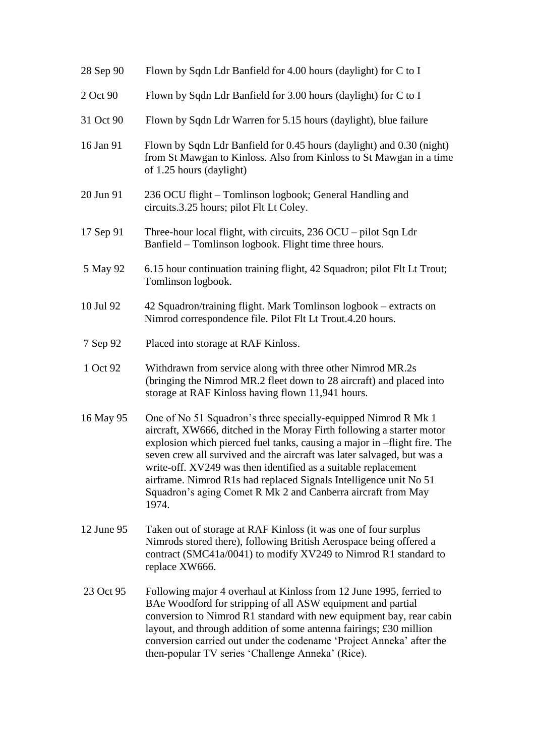| 28 Sep 90  | Flown by Sqdn Ldr Banfield for 4.00 hours (daylight) for C to I                                                                                                                                                                                                                                                                                                                                                                                                                                               |
|------------|---------------------------------------------------------------------------------------------------------------------------------------------------------------------------------------------------------------------------------------------------------------------------------------------------------------------------------------------------------------------------------------------------------------------------------------------------------------------------------------------------------------|
| 2 Oct 90   | Flown by Sqdn Ldr Banfield for 3.00 hours (daylight) for C to I                                                                                                                                                                                                                                                                                                                                                                                                                                               |
| 31 Oct 90  | Flown by Sqdn Ldr Warren for 5.15 hours (daylight), blue failure                                                                                                                                                                                                                                                                                                                                                                                                                                              |
| 16 Jan 91  | Flown by Sqdn Ldr Banfield for 0.45 hours (daylight) and 0.30 (night)<br>from St Mawgan to Kinloss. Also from Kinloss to St Mawgan in a time<br>of 1.25 hours (daylight)                                                                                                                                                                                                                                                                                                                                      |
| 20 Jun 91  | 236 OCU flight - Tomlinson logbook; General Handling and<br>circuits.3.25 hours; pilot Flt Lt Coley.                                                                                                                                                                                                                                                                                                                                                                                                          |
| 17 Sep 91  | Three-hour local flight, with circuits, 236 OCU – pilot Sqn Ldr<br>Banfield – Tomlinson logbook. Flight time three hours.                                                                                                                                                                                                                                                                                                                                                                                     |
| 5 May 92   | 6.15 hour continuation training flight, 42 Squadron; pilot Flt Lt Trout;<br>Tomlinson logbook.                                                                                                                                                                                                                                                                                                                                                                                                                |
| 10 Jul 92  | 42 Squadron/training flight. Mark Tomlinson logbook – extracts on<br>Nimrod correspondence file. Pilot Flt Lt Trout.4.20 hours.                                                                                                                                                                                                                                                                                                                                                                               |
| 7 Sep 92   | Placed into storage at RAF Kinloss.                                                                                                                                                                                                                                                                                                                                                                                                                                                                           |
| 1 Oct 92   | Withdrawn from service along with three other Nimrod MR.2s<br>(bringing the Nimrod MR.2 fleet down to 28 aircraft) and placed into<br>storage at RAF Kinloss having flown 11,941 hours.                                                                                                                                                                                                                                                                                                                       |
| 16 May 95  | One of No 51 Squadron's three specially-equipped Nimrod R Mk 1<br>aircraft, XW666, ditched in the Moray Firth following a starter motor<br>explosion which pierced fuel tanks, causing a major in -flight fire. The<br>seven crew all survived and the aircraft was later salvaged, but was a<br>write-off. XV249 was then identified as a suitable replacement<br>airframe. Nimrod R1s had replaced Signals Intelligence unit No 51<br>Squadron's aging Comet R Mk 2 and Canberra aircraft from May<br>1974. |
| 12 June 95 | Taken out of storage at RAF Kinloss (it was one of four surplus<br>Nimrods stored there), following British Aerospace being offered a<br>contract (SMC41a/0041) to modify XV249 to Nimrod R1 standard to<br>replace XW666.                                                                                                                                                                                                                                                                                    |
| 23 Oct 95  | Following major 4 overhaul at Kinloss from 12 June 1995, ferried to<br>BAe Woodford for stripping of all ASW equipment and partial<br>conversion to Nimrod R1 standard with new equipment bay, rear cabin<br>layout, and through addition of some antenna fairings; £30 million<br>conversion carried out under the codename 'Project Anneka' after the<br>then-popular TV series 'Challenge Anneka' (Rice).                                                                                                  |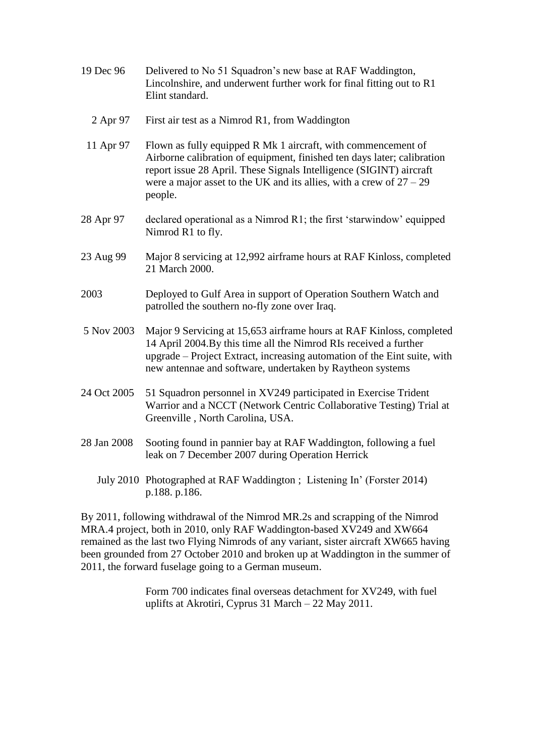| 19 Dec 96   | Delivered to No 51 Squadron's new base at RAF Waddington,<br>Lincolnshire, and underwent further work for final fitting out to R1<br>Elint standard.                                                                                                                                                |
|-------------|-----------------------------------------------------------------------------------------------------------------------------------------------------------------------------------------------------------------------------------------------------------------------------------------------------|
| 2 Apr 97    | First air test as a Nimrod R1, from Waddington                                                                                                                                                                                                                                                      |
| 11 Apr 97   | Flown as fully equipped R Mk 1 aircraft, with commencement of<br>Airborne calibration of equipment, finished ten days later; calibration<br>report issue 28 April. These Signals Intelligence (SIGINT) aircraft<br>were a major asset to the UK and its allies, with a crew of $27 - 29$<br>people. |
| 28 Apr 97   | declared operational as a Nimrod R1; the first 'starwindow' equipped<br>Nimrod R1 to fly.                                                                                                                                                                                                           |
| 23 Aug 99   | Major 8 servicing at 12,992 airframe hours at RAF Kinloss, completed<br>21 March 2000.                                                                                                                                                                                                              |
| 2003        | Deployed to Gulf Area in support of Operation Southern Watch and<br>patrolled the southern no-fly zone over Iraq.                                                                                                                                                                                   |
| 5 Nov 2003  | Major 9 Servicing at 15,653 airframe hours at RAF Kinloss, completed<br>14 April 2004.By this time all the Nimrod RIs received a further<br>upgrade – Project Extract, increasing automation of the Eint suite, with<br>new antennae and software, undertaken by Raytheon systems                   |
| 24 Oct 2005 | 51 Squadron personnel in XV249 participated in Exercise Trident<br>Warrior and a NCCT (Network Centric Collaborative Testing) Trial at<br>Greenville, North Carolina, USA.                                                                                                                          |
| 28 Jan 2008 | Sooting found in pannier bay at RAF Waddington, following a fuel<br>leak on 7 December 2007 during Operation Herrick                                                                                                                                                                                |
|             | July 2010 Photographed at RAF Waddington; Listening In' (Forster 2014)<br>p.188. p.186.                                                                                                                                                                                                             |

By 2011, following withdrawal of the Nimrod MR.2s and scrapping of the Nimrod MRA.4 project, both in 2010, only RAF Waddington-based XV249 and XW664 remained as the last two Flying Nimrods of any variant, sister aircraft XW665 having been grounded from 27 October 2010 and broken up at Waddington in the summer of 2011, the forward fuselage going to a German museum.

> Form 700 indicates final overseas detachment for XV249, with fuel uplifts at Akrotiri, Cyprus 31 March – 22 May 2011.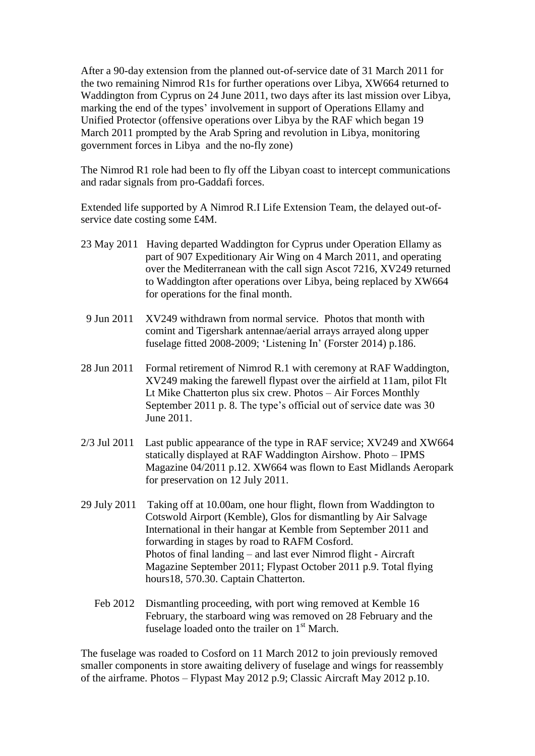After a 90-day extension from the planned out-of-service date of 31 March 2011 for the two remaining Nimrod R1s for further operations over Libya, XW664 returned to Waddington from Cyprus on 24 June 2011, two days after its last mission over Libya, marking the end of the types' involvement in support of Operations Ellamy and Unified Protector (offensive operations over Libya by the RAF which began 19 March 2011 prompted by the Arab Spring and revolution in Libya, monitoring government forces in Libya and the no-fly zone)

The Nimrod R1 role had been to fly off the Libyan coast to intercept communications and radar signals from pro-Gaddafi forces.

Extended life supported by A Nimrod R.I Life Extension Team, the delayed out-ofservice date costing some £4M.

- 23 May 2011 Having departed Waddington for Cyprus under Operation Ellamy as part of 907 Expeditionary Air Wing on 4 March 2011, and operating over the Mediterranean with the call sign Ascot 7216, XV249 returned to Waddington after operations over Libya, being replaced by XW664 for operations for the final month.
- 9 Jun 2011 XV249 withdrawn from normal service. Photos that month with comint and Tigershark antennae/aerial arrays arrayed along upper fuselage fitted 2008-2009; 'Listening In' (Forster 2014) p.186.
- 28 Jun 2011 Formal retirement of Nimrod R.1 with ceremony at RAF Waddington, XV249 making the farewell flypast over the airfield at 11am, pilot Flt Lt Mike Chatterton plus six crew. Photos – Air Forces Monthly September 2011 p. 8. The type's official out of service date was 30 June 2011.
- 2/3 Jul 2011 Last public appearance of the type in RAF service; XV249 and XW664 statically displayed at RAF Waddington Airshow. Photo – IPMS Magazine 04/2011 p.12. XW664 was flown to East Midlands Aeropark for preservation on 12 July 2011.
- 29 July 2011 Taking off at 10.00am, one hour flight, flown from Waddington to Cotswold Airport (Kemble), Glos for dismantling by Air Salvage International in their hangar at Kemble from September 2011 and forwarding in stages by road to RAFM Cosford. Photos of final landing – and last ever Nimrod flight - Aircraft Magazine September 2011; Flypast October 2011 p.9. Total flying hours18, 570.30. Captain Chatterton.
	- Feb 2012 Dismantling proceeding, with port wing removed at Kemble 16 February, the starboard wing was removed on 28 February and the fuselage loaded onto the trailer on  $1<sup>st</sup>$  March.

The fuselage was roaded to Cosford on 11 March 2012 to join previously removed smaller components in store awaiting delivery of fuselage and wings for reassembly of the airframe. Photos – Flypast May 2012 p.9; Classic Aircraft May 2012 p.10.